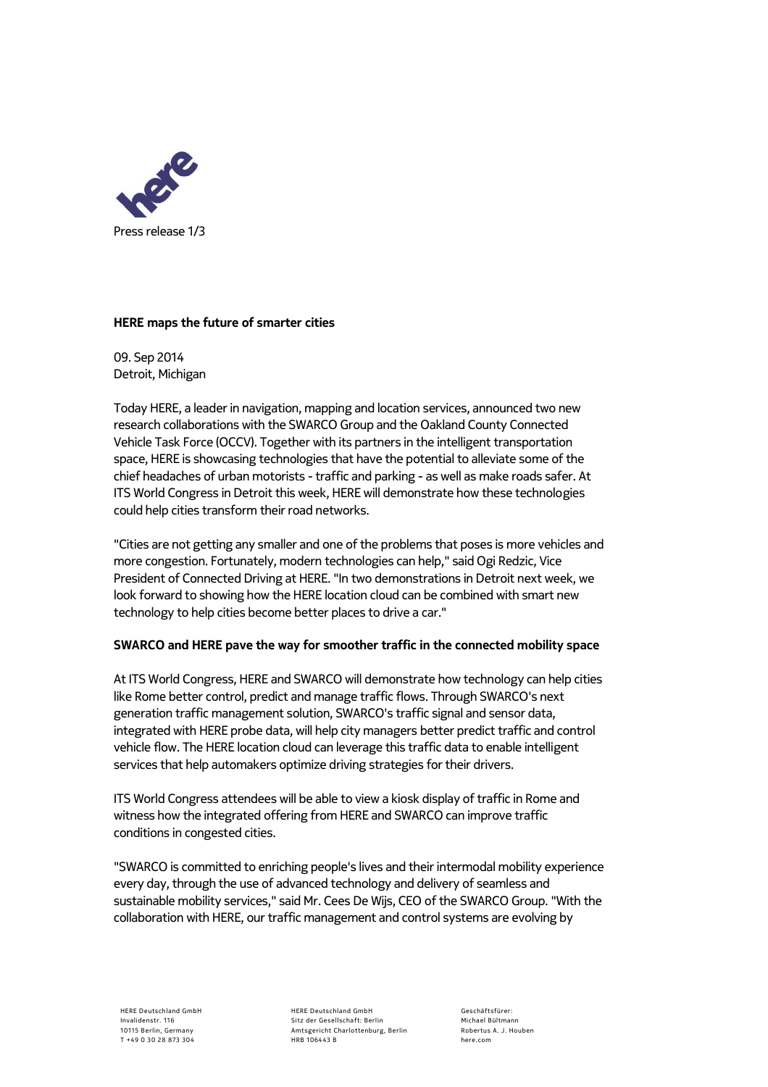

## **HERE maps the future of smarter cities**

09. Sep 2014 Detroit, Michigan

Today HERE, a leader in navigation, mapping and location services, announced two new research collaborations with the SWARCO Group and the Oakland County Connected Vehicle Task Force (OCCV). Together with its partners in the intelligent transportation space, HERE is showcasing technologies that have the potential to alleviate some of the chief headaches of urban motorists - traffic and parking - as well as make roads safer. At ITS World Congress in Detroit this week, HERE will demonstrate how these technologies could help cities transform their road networks.

"Cities are not getting any smaller and one of the problems that poses is more vehicles and more congestion. Fortunately, modern technologies can help," said Ogi Redzic, Vice President of Connected Driving at HERE. "In two demonstrations in Detroit next week, we look forward to showing how the HERE location cloud can be combined with smart new technology to help cities become better places to drive a car."

## **SWARCO and HERE pave the way for smoother traffic in the connected mobility space**

At ITS World Congress, HERE and SWARCO will demonstrate how technology can help cities like Rome better control, predict and manage traffic flows. Through SWARCO's next generation traffic management solution, SWARCO's traffic signal and sensor data, integrated with HERE probe data, will help city managers better predict traffic and control vehicle flow. The HERE location cloud can leverage this traffic data to enable intelligent services that help automakers optimize driving strategies for their drivers.

ITS World Congress attendees will be able to view a kiosk display of traffic in Rome and witness how the integrated offering from HERE and SWARCO can improve traffic conditions in congested cities.

"SWARCO is committed to enriching people's lives and their intermodal mobility experience every day, through the use of advanced technology and delivery of seamless and sustainable mobility services," said Mr. Cees De Wijs, CEO of the SWARCO Group. "With the collaboration with HERE, our traffic management and control systems are evolving by

HERE Deutschland GmbH Sitz der Gesellschaft: Berlin Amtsgericht Charlottenburg, Berlin HRB 106443 B

Geschäftsfürer: Michael Bültmann Robertus A. J. Houben here.com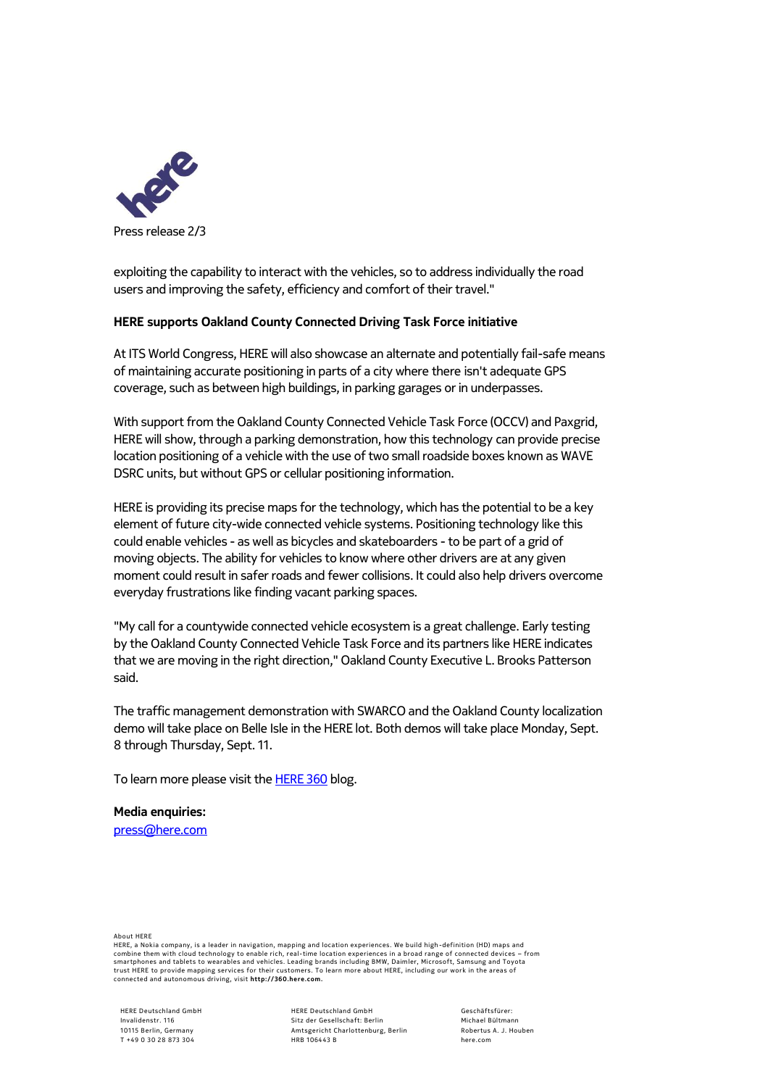

exploiting the capability to interact with the vehicles, so to address individually the road users and improving the safety, efficiency and comfort of their travel."

## **HERE supports Oakland County Connected Driving Task Force initiative**

At ITS World Congress, HERE will also showcase an alternate and potentially fail-safe means of maintaining accurate positioning in parts of a city where there isn't adequate GPS coverage, such as between high buildings, in parking garages or in underpasses.

With support from the Oakland County Connected Vehicle Task Force (OCCV) and Paxgrid, HERE will show, through a parking demonstration, how this technology can provide precise location positioning of a vehicle with the use of two small roadside boxes known as WAVE DSRC units, but without GPS or cellular positioning information.

HERE is providing its precise maps for the technology, which has the potential to be a key element of future city-wide connected vehicle systems. Positioning technology like this could enable vehicles - as well as bicycles and skateboarders - to be part of a grid of moving objects. The ability for vehicles to know where other drivers are at any given moment could result in safer roads and fewer collisions. It could also help drivers overcome everyday frustrations like finding vacant parking spaces.

"My call for a countywide connected vehicle ecosystem is a great challenge. Early testing by the Oakland County Connected Vehicle Task Force and its partners like HERE indicates that we are moving in the right direction," Oakland County Executive L. Brooks Patterson said.

The traffic management demonstration with SWARCO and the Oakland County localization demo will take place on Belle Isle in the HERE lot. Both demos will take place Monday, Sept. 8 through Thursday, Sept. 11.

To learn more please visit the **HERE 360** blog.

**Media enquiries:**  [press@here.com](mailto:press@here.com)

About HERE

HERE, a Nokia company, is a leader in navigation, mapping and location experiences. We build high -definition (HD) maps and combine them with cloud technology to enable rich, real-time location experiences in a broad range of connected devices – from<br>smartphones and tablets to wearables and vehicles. Leading brands including BMW, Daimler, Micro

HERE Deutschland GmbH Invalidenstr. 116 10115 Berlin, Germany T +49 0 30 28 873 304

HERE Deutschland GmbH Sitz der Gesellschaft: Berlin Amtsgericht Charlottenburg, Berlin HRB 106443 B

Geschäftsfürer: Michael Bültmann Robertus A. J. Houben here.com